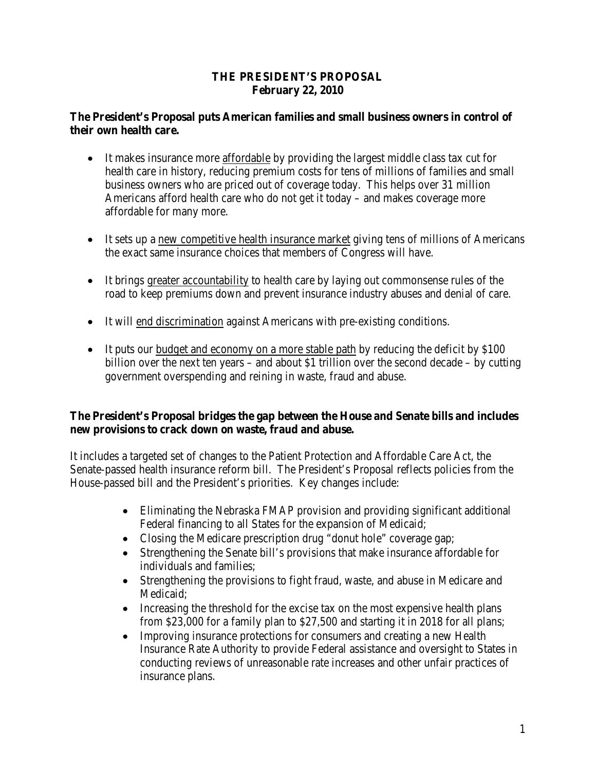## **THE PRESIDENT'S PROPOSAL February 22, 2010**

## **The President's Proposal puts American families and small business owners in control of their own health care.**

- It makes insurance more affordable by providing the largest middle class tax cut for health care in history, reducing premium costs for tens of millions of families and small business owners who are priced out of coverage today. This helps over 31 million Americans afford health care who do not get it today – and makes coverage more affordable for many more.
- It sets up a new competitive health insurance market giving tens of millions of Americans the exact same insurance choices that members of Congress will have.
- It brings greater accountability to health care by laying out commonsense rules of the road to keep premiums down and prevent insurance industry abuses and denial of care.
- It will end discrimination against Americans with pre-existing conditions.
- It puts our budget and economy on a more stable path by reducing the deficit by \$100 billion over the next ten years – and about \$1 trillion over the second decade – by cutting government overspending and reining in waste, fraud and abuse.

# **The President's Proposal bridges the gap between the House and Senate bills and includes new provisions to crack down on waste, fraud and abuse.**

It includes a targeted set of changes to the Patient Protection and Affordable Care Act, the Senate-passed health insurance reform bill. The President's Proposal reflects policies from the House-passed bill and the President's priorities. Key changes include:

- Eliminating the Nebraska FMAP provision and providing significant additional Federal financing to all States for the expansion of Medicaid;
- Closing the Medicare prescription drug "donut hole" coverage gap;
- Strengthening the Senate bill's provisions that make insurance affordable for individuals and families;
- Strengthening the provisions to fight fraud, waste, and abuse in Medicare and Medicaid;
- Increasing the threshold for the excise tax on the most expensive health plans from \$23,000 for a family plan to \$27,500 and starting it in 2018 for all plans;
- Improving insurance protections for consumers and creating a new Health Insurance Rate Authority to provide Federal assistance and oversight to States in conducting reviews of unreasonable rate increases and other unfair practices of insurance plans.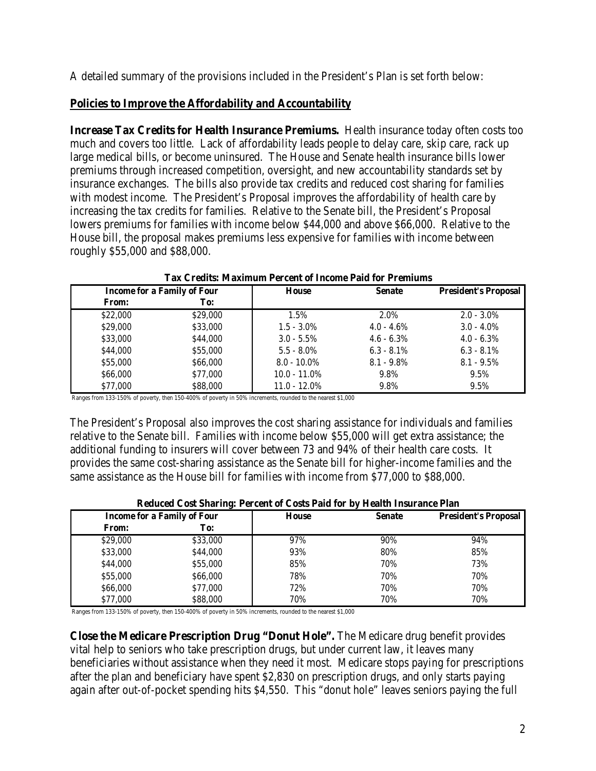A detailed summary of the provisions included in the President's Plan is set forth below:

## **Policies to Improve the Affordability and Accountability**

**Increase Tax Credits for Health Insurance Premiums.** Health insurance today often costs too much and covers too little. Lack of affordability leads people to delay care, skip care, rack up large medical bills, or become uninsured. The House and Senate health insurance bills lower premiums through increased competition, oversight, and new accountability standards set by insurance exchanges. The bills also provide tax credits and reduced cost sharing for families with modest income. The President's Proposal improves the affordability of health care by increasing the tax credits for families. Relative to the Senate bill, the President's Proposal lowers premiums for families with income below \$44,000 and above \$66,000. Relative to the House bill, the proposal makes premiums less expensive for families with income between roughly \$55,000 and \$88,000.

| Income for a Family of Four |          | House           | <b>Senate</b> | <b>President's Proposal</b> |  |
|-----------------------------|----------|-----------------|---------------|-----------------------------|--|
| From:                       | To:      |                 |               |                             |  |
| \$22,000                    | \$29,000 | 1.5%            | 2.0%          | $2.0 - 3.0\%$               |  |
| \$29,000                    | \$33,000 | $1.5 - 3.0\%$   | $4.0 - 4.6\%$ | $3.0 - 4.0\%$               |  |
| \$33,000                    | \$44,000 | $3.0 - 5.5\%$   | $4.6 - 6.3\%$ | $4.0 - 6.3\%$               |  |
| \$44,000                    | \$55,000 | $5.5 - 8.0\%$   | $6.3 - 8.1\%$ | $6.3 - 8.1\%$               |  |
| \$55,000                    | \$66,000 | $8.0 - 10.0\%$  | $8.1 - 9.8\%$ | $8.1 - 9.5\%$               |  |
| \$66,000                    | \$77,000 | $10.0 - 11.0\%$ | 9.8%          | 9.5%                        |  |
| \$77,000                    | \$88,000 | $11.0 - 12.0\%$ | 9.8%          | 9.5%                        |  |

**Tax Credits: Maximum Percent of Income Paid for Premiums**

Ranges from 133-150% of poverty, then 150-400% of poverty in 50% increments, rounded to the nearest \$1,000

The President's Proposal also improves the cost sharing assistance for individuals and families relative to the Senate bill. Families with income below \$55,000 will get extra assistance; the additional funding to insurers will cover between 73 and 94% of their health care costs. It provides the same cost-sharing assistance as the Senate bill for higher-income families and the same assistance as the House bill for families with income from \$77,000 to \$88,000.

| Reduced Cost Sharing: Percent of Costs Paid for by Health Insurance Plan |  |  |  |
|--------------------------------------------------------------------------|--|--|--|
|                                                                          |  |  |  |

| -                           |              |          |               |                             |     |  |  |
|-----------------------------|--------------|----------|---------------|-----------------------------|-----|--|--|
| Income for a Family of Four |              | House    | <b>Senate</b> | <b>President's Proposal</b> |     |  |  |
|                             | <b>From:</b> | To:      |               |                             |     |  |  |
|                             | \$29,000     | \$33,000 | 97%           | 90%                         | 94% |  |  |
|                             | \$33,000     | \$44,000 | 93%           | 80%                         | 85% |  |  |
|                             | \$44,000     | \$55,000 | 85%           | 70%                         | 73% |  |  |
|                             | \$55,000     | \$66,000 | 78%           | 70%                         | 70% |  |  |
|                             | \$66,000     | \$77,000 | 72%           | 70%                         | 70% |  |  |
|                             | \$77,000     | \$88,000 | 70%           | 70%                         | 70% |  |  |
|                             |              |          |               |                             |     |  |  |

Ranges from 133-150% of poverty, then 150-400% of poverty in 50% increments, rounded to the nearest \$1,000

**Close the Medicare Prescription Drug "Donut Hole".** The Medicare drug benefit provides vital help to seniors who take prescription drugs, but under current law, it leaves many beneficiaries without assistance when they need it most. Medicare stops paying for prescriptions after the plan and beneficiary have spent \$2,830 on prescription drugs, and only starts paying again after out-of-pocket spending hits \$4,550. This "donut hole" leaves seniors paying the full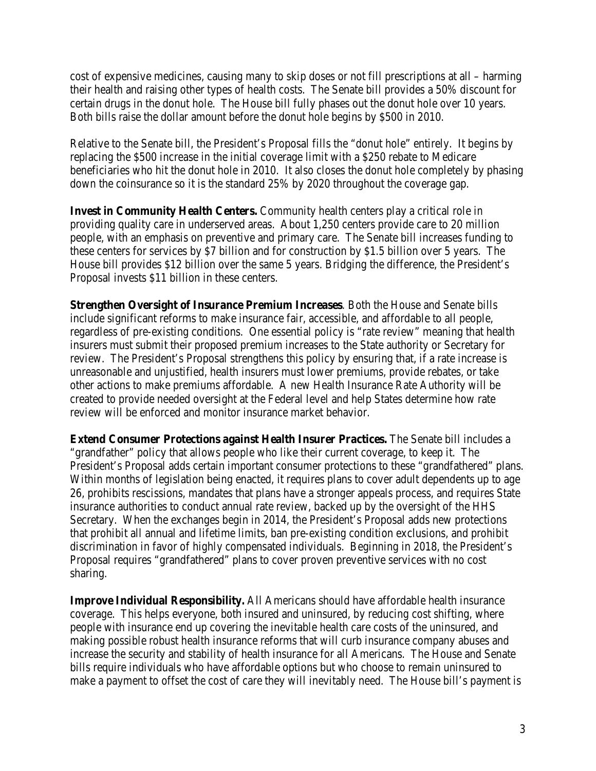cost of expensive medicines, causing many to skip doses or not fill prescriptions at all – harming their health and raising other types of health costs. The Senate bill provides a 50% discount for certain drugs in the donut hole. The House bill fully phases out the donut hole over 10 years. Both bills raise the dollar amount before the donut hole begins by \$500 in 2010.

Relative to the Senate bill, the President's Proposal fills the "donut hole" entirely. It begins by replacing the \$500 increase in the initial coverage limit with a \$250 rebate to Medicare beneficiaries who hit the donut hole in 2010. It also closes the donut hole completely by phasing down the coinsurance so it is the standard 25% by 2020 throughout the coverage gap.

**Invest in Community Health Centers.** Community health centers play a critical role in providing quality care in underserved areas. About 1,250 centers provide care to 20 million people, with an emphasis on preventive and primary care. The Senate bill increases funding to these centers for services by \$7 billion and for construction by \$1.5 billion over 5 years. The House bill provides \$12 billion over the same 5 years. Bridging the difference, the President's Proposal invests \$11 billion in these centers.

**Strengthen Oversight of Insurance Premium Increases**. Both the House and Senate bills include significant reforms to make insurance fair, accessible, and affordable to all people, regardless of pre-existing conditions. One essential policy is "rate review" meaning that health insurers must submit their proposed premium increases to the State authority or Secretary for review. The President's Proposal strengthens this policy by ensuring that, if a rate increase is unreasonable and unjustified, health insurers must lower premiums, provide rebates, or take other actions to make premiums affordable. A new Health Insurance Rate Authority will be created to provide needed oversight at the Federal level and help States determine how rate review will be enforced and monitor insurance market behavior.

**Extend Consumer Protections against Health Insurer Practices.** The Senate bill includes a "grandfather" policy that allows people who like their current coverage, to keep it. The President's Proposal adds certain important consumer protections to these "grandfathered" plans. Within months of legislation being enacted, it requires plans to cover adult dependents up to age 26, prohibits rescissions, mandates that plans have a stronger appeals process, and requires State insurance authorities to conduct annual rate review, backed up by the oversight of the HHS Secretary. When the exchanges begin in 2014, the President's Proposal adds new protections that prohibit all annual and lifetime limits, ban pre-existing condition exclusions, and prohibit discrimination in favor of highly compensated individuals. Beginning in 2018, the President's Proposal requires "grandfathered" plans to cover proven preventive services with no cost sharing.

**Improve Individual Responsibility.** All Americans should have affordable health insurance coverage. This helps everyone, both insured and uninsured, by reducing cost shifting, where people with insurance end up covering the inevitable health care costs of the uninsured, and making possible robust health insurance reforms that will curb insurance company abuses and increase the security and stability of health insurance for all Americans. The House and Senate bills require individuals who have affordable options but who choose to remain uninsured to make a payment to offset the cost of care they will inevitably need. The House bill's payment is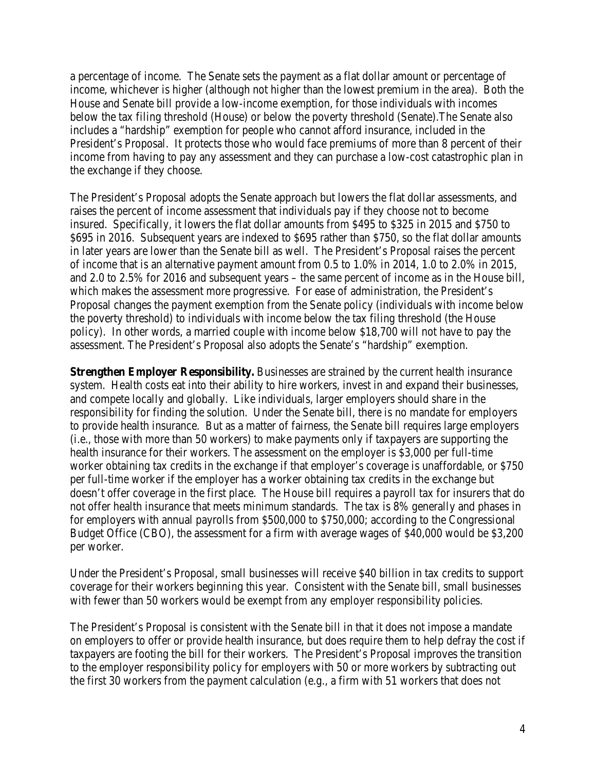a percentage of income. The Senate sets the payment as a flat dollar amount or percentage of income, whichever is higher (although not higher than the lowest premium in the area). Both the House and Senate bill provide a low-income exemption, for those individuals with incomes below the tax filing threshold (House) or below the poverty threshold (Senate).The Senate also includes a "hardship" exemption for people who cannot afford insurance, included in the President's Proposal. It protects those who would face premiums of more than 8 percent of their income from having to pay any assessment and they can purchase a low-cost catastrophic plan in the exchange if they choose.

The President's Proposal adopts the Senate approach but lowers the flat dollar assessments, and raises the percent of income assessment that individuals pay if they choose not to become insured. Specifically, it lowers the flat dollar amounts from \$495 to \$325 in 2015 and \$750 to \$695 in 2016. Subsequent years are indexed to \$695 rather than \$750, so the flat dollar amounts in later years are lower than the Senate bill as well. The President's Proposal raises the percent of income that is an alternative payment amount from 0.5 to 1.0% in 2014, 1.0 to 2.0% in 2015, and 2.0 to 2.5% for 2016 and subsequent years – the same percent of income as in the House bill, which makes the assessment more progressive. For ease of administration, the President's Proposal changes the payment exemption from the Senate policy (individuals with income below the poverty threshold) to individuals with income below the tax filing threshold (the House policy). In other words, a married couple with income below \$18,700 will not have to pay the assessment. The President's Proposal also adopts the Senate's "hardship" exemption.

**Strengthen Employer Responsibility.** Businesses are strained by the current health insurance system. Health costs eat into their ability to hire workers, invest in and expand their businesses, and compete locally and globally. Like individuals, larger employers should share in the responsibility for finding the solution. Under the Senate bill, there is no mandate for employers to provide health insurance. But as a matter of fairness, the Senate bill requires large employers (i.e., those with more than 50 workers) to make payments only if taxpayers are supporting the health insurance for their workers. The assessment on the employer is \$3,000 per full-time worker obtaining tax credits in the exchange if that employer's coverage is unaffordable, or \$750 per full-time worker if the employer has a worker obtaining tax credits in the exchange but doesn't offer coverage in the first place. The House bill requires a payroll tax for insurers that do not offer health insurance that meets minimum standards. The tax is 8% generally and phases in for employers with annual payrolls from \$500,000 to \$750,000; according to the Congressional Budget Office (CBO), the assessment for a firm with average wages of \$40,000 would be \$3,200 per worker.

Under the President's Proposal, small businesses will receive \$40 billion in tax credits to support coverage for their workers beginning this year. Consistent with the Senate bill, small businesses with fewer than 50 workers would be exempt from any employer responsibility policies.

The President's Proposal is consistent with the Senate bill in that it does not impose a mandate on employers to offer or provide health insurance, but does require them to help defray the cost if taxpayers are footing the bill for their workers. The President's Proposal improves the transition to the employer responsibility policy for employers with 50 or more workers by subtracting out the first 30 workers from the payment calculation (e.g., a firm with 51 workers that does not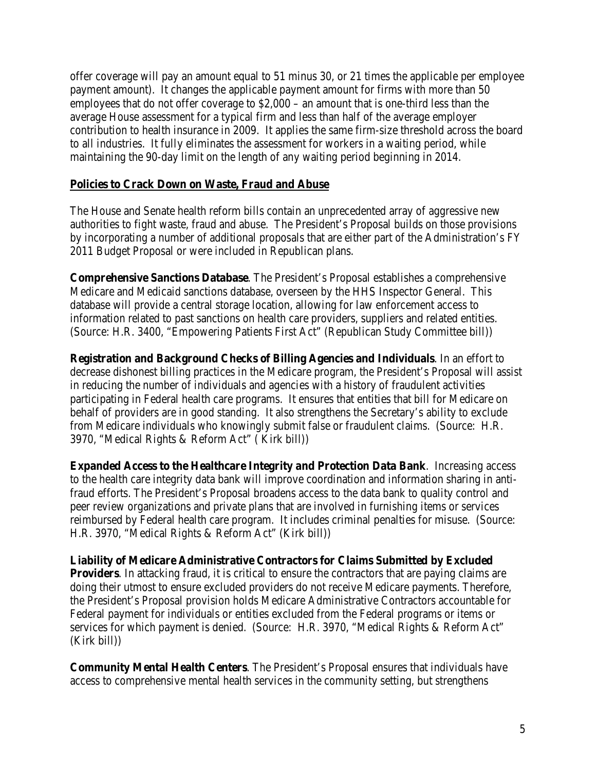offer coverage will pay an amount equal to 51 minus 30, or 21 times the applicable per employee payment amount). It changes the applicable payment amount for firms with more than 50 employees that do not offer coverage to \$2,000 – an amount that is one-third less than the average House assessment for a typical firm and less than half of the average employer contribution to health insurance in 2009. It applies the same firm-size threshold across the board to all industries. It fully eliminates the assessment for workers in a waiting period, while maintaining the 90-day limit on the length of any waiting period beginning in 2014.

## **Policies to Crack Down on Waste, Fraud and Abuse**

The House and Senate health reform bills contain an unprecedented array of aggressive new authorities to fight waste, fraud and abuse. The President's Proposal builds on those provisions by incorporating a number of additional proposals that are either part of the Administration's FY 2011 Budget Proposal or were included in Republican plans.

**Comprehensive Sanctions Database**. The President's Proposal establishes a comprehensive Medicare and Medicaid sanctions database, overseen by the HHS Inspector General. This database will provide a central storage location, allowing for law enforcement access to information related to past sanctions on health care providers, suppliers and related entities. (Source: H.R. 3400, "Empowering Patients First Act" (Republican Study Committee bill))

**Registration and Background Checks of Billing Agencies and Individuals**. In an effort to decrease dishonest billing practices in the Medicare program, the President's Proposal will assist in reducing the number of individuals and agencies with a history of fraudulent activities participating in Federal health care programs. It ensures that entities that bill for Medicare on behalf of providers are in good standing. It also strengthens the Secretary's ability to exclude from Medicare individuals who knowingly submit false or fraudulent claims. (Source: H.R. 3970, "Medical Rights & Reform Act" ( Kirk bill))

**Expanded Access to the Healthcare Integrity and Protection Data Bank**. Increasing access to the health care integrity data bank will improve coordination and information sharing in antifraud efforts. The President's Proposal broadens access to the data bank to quality control and peer review organizations and private plans that are involved in furnishing items or services reimbursed by Federal health care program. It includes criminal penalties for misuse. (Source: H.R. 3970, "Medical Rights & Reform Act" (Kirk bill))

**Liability of Medicare Administrative Contractors for Claims Submitted by Excluded Providers**. In attacking fraud, it is critical to ensure the contractors that are paying claims are doing their utmost to ensure excluded providers do not receive Medicare payments. Therefore, the President's Proposal provision holds Medicare Administrative Contractors accountable for Federal payment for individuals or entities excluded from the Federal programs or items or services for which payment is denied. (Source: H.R. 3970, "Medical Rights & Reform Act" (Kirk bill))

**Community Mental Health Centers**. The President's Proposal ensures that individuals have access to comprehensive mental health services in the community setting, but strengthens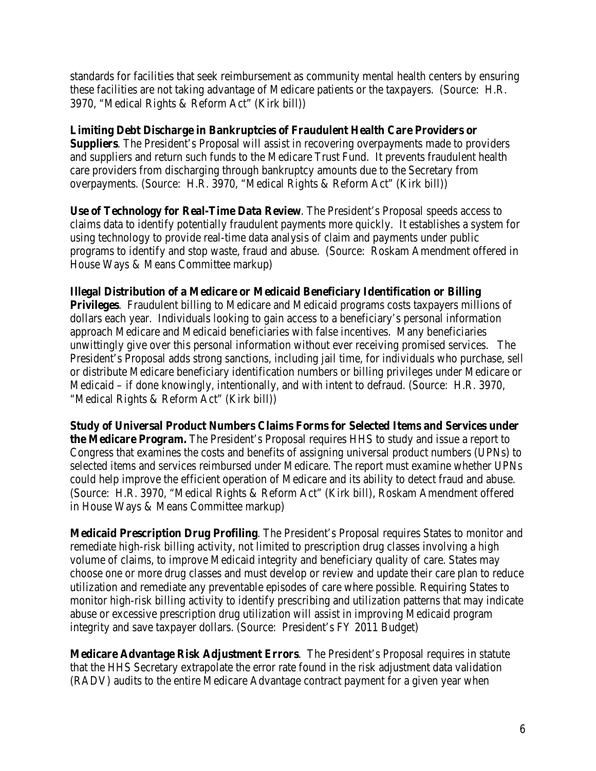standards for facilities that seek reimbursement as community mental health centers by ensuring these facilities are not taking advantage of Medicare patients or the taxpayers. (Source: H.R. 3970, "Medical Rights & Reform Act" (Kirk bill))

**Limiting Debt Discharge in Bankruptcies of Fraudulent Health Care Providers or Suppliers**. The President's Proposal will assist in recovering overpayments made to providers and suppliers and return such funds to the Medicare Trust Fund. It prevents fraudulent health care providers from discharging through bankruptcy amounts due to the Secretary from overpayments. (Source: H.R. 3970, "Medical Rights & Reform Act" (Kirk bill))

**Use of Technology for Real-Time Data Review**. The President's Proposal speeds access to claims data to identify potentially fraudulent payments more quickly. It establishes a system for using technology to provide real-time data analysis of claim and payments under public programs to identify and stop waste, fraud and abuse. (Source: Roskam Amendment offered in House Ways & Means Committee markup)

#### **Illegal Distribution of a Medicare or Medicaid Beneficiary Identification or Billing**

**Privileges**. Fraudulent billing to Medicare and Medicaid programs costs taxpayers millions of dollars each year. Individuals looking to gain access to a beneficiary's personal information approach Medicare and Medicaid beneficiaries with false incentives. Many beneficiaries unwittingly give over this personal information without ever receiving promised services. The President's Proposal adds strong sanctions, including jail time, for individuals who purchase, sell or distribute Medicare beneficiary identification numbers or billing privileges under Medicare or Medicaid – if done knowingly, intentionally, and with intent to defraud. (Source: H.R. 3970, "Medical Rights & Reform Act" (Kirk bill))

**Study of Universal Product Numbers Claims Forms for Selected Items and Services under the Medicare Program.** The President's Proposal requires HHS to study and issue a report to Congress that examines the costs and benefits of assigning universal product numbers (UPNs) to selected items and services reimbursed under Medicare. The report must examine whether UPNs could help improve the efficient operation of Medicare and its ability to detect fraud and abuse. (Source: H.R. 3970, "Medical Rights & Reform Act" (Kirk bill), Roskam Amendment offered in House Ways & Means Committee markup)

**Medicaid Prescription Drug Profiling**. The President's Proposal requires States to monitor and remediate high-risk billing activity, not limited to prescription drug classes involving a high volume of claims, to improve Medicaid integrity and beneficiary quality of care. States may choose one or more drug classes and must develop or review and update their care plan to reduce utilization and remediate any preventable episodes of care where possible. Requiring States to monitor high-risk billing activity to identify prescribing and utilization patterns that may indicate abuse or excessive prescription drug utilization will assist in improving Medicaid program integrity and save taxpayer dollars. (Source: President's FY 2011 Budget)

**Medicare Advantage Risk Adjustment Errors**. The President's Proposal requires in statute that the HHS Secretary extrapolate the error rate found in the risk adjustment data validation (RADV) audits to the entire Medicare Advantage contract payment for a given year when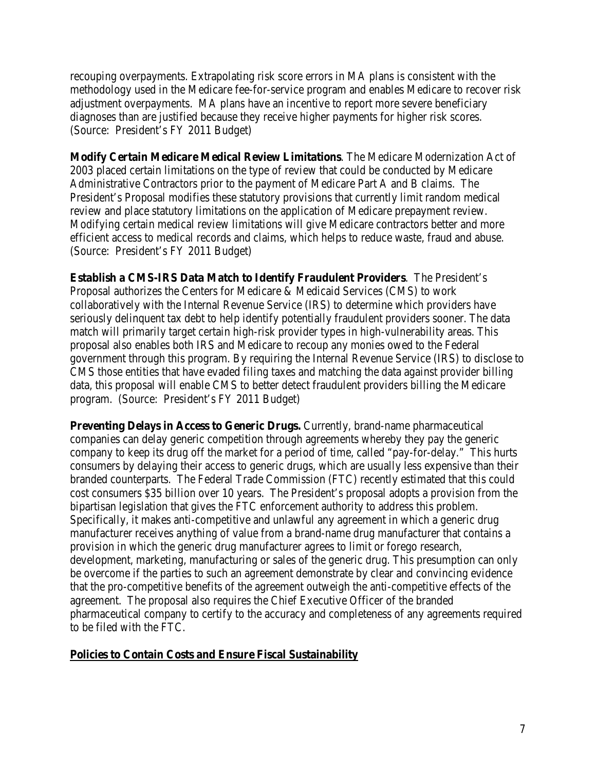recouping overpayments. Extrapolating risk score errors in MA plans is consistent with the methodology used in the Medicare fee-for-service program and enables Medicare to recover risk adjustment overpayments. MA plans have an incentive to report more severe beneficiary diagnoses than are justified because they receive higher payments for higher risk scores. (Source: President's FY 2011 Budget)

**Modify Certain Medicare Medical Review Limitations**. The Medicare Modernization Act of 2003 placed certain limitations on the type of review that could be conducted by Medicare Administrative Contractors prior to the payment of Medicare Part A and B claims. The President's Proposal modifies these statutory provisions that currently limit random medical review and place statutory limitations on the application of Medicare prepayment review. Modifying certain medical review limitations will give Medicare contractors better and more efficient access to medical records and claims, which helps to reduce waste, fraud and abuse. (Source: President's FY 2011 Budget)

**Establish a CMS-IRS Data Match to Identify Fraudulent Providers**. The President's Proposal authorizes the Centers for Medicare & Medicaid Services (CMS) to work collaboratively with the Internal Revenue Service (IRS) to determine which providers have seriously delinquent tax debt to help identify potentially fraudulent providers sooner. The data match will primarily target certain high-risk provider types in high-vulnerability areas. This proposal also enables both IRS and Medicare to recoup any monies owed to the Federal government through this program. By requiring the Internal Revenue Service (IRS) to disclose to CMS those entities that have evaded filing taxes and matching the data against provider billing data, this proposal will enable CMS to better detect fraudulent providers billing the Medicare program. (Source: President's FY 2011 Budget)

**Preventing Delays in Access to Generic Drugs.** Currently, brand-name pharmaceutical companies can delay generic competition through agreements whereby they pay the generic company to keep its drug off the market for a period of time, called "pay-for-delay." This hurts consumers by delaying their access to generic drugs, which are usually less expensive than their branded counterparts. The Federal Trade Commission (FTC) recently estimated that this could cost consumers \$35 billion over 10 years. The President's proposal adopts a provision from the bipartisan legislation that gives the FTC enforcement authority to address this problem. Specifically, it makes anti-competitive and unlawful any agreement in which a generic drug manufacturer receives anything of value from a brand-name drug manufacturer that contains a provision in which the generic drug manufacturer agrees to limit or forego research, development, marketing, manufacturing or sales of the generic drug. This presumption can only be overcome if the parties to such an agreement demonstrate by clear and convincing evidence that the pro-competitive benefits of the agreement outweigh the anti-competitive effects of the agreement. The proposal also requires the Chief Executive Officer of the branded pharmaceutical company to certify to the accuracy and completeness of any agreements required to be filed with the FTC.

# **Policies to Contain Costs and Ensure Fiscal Sustainability**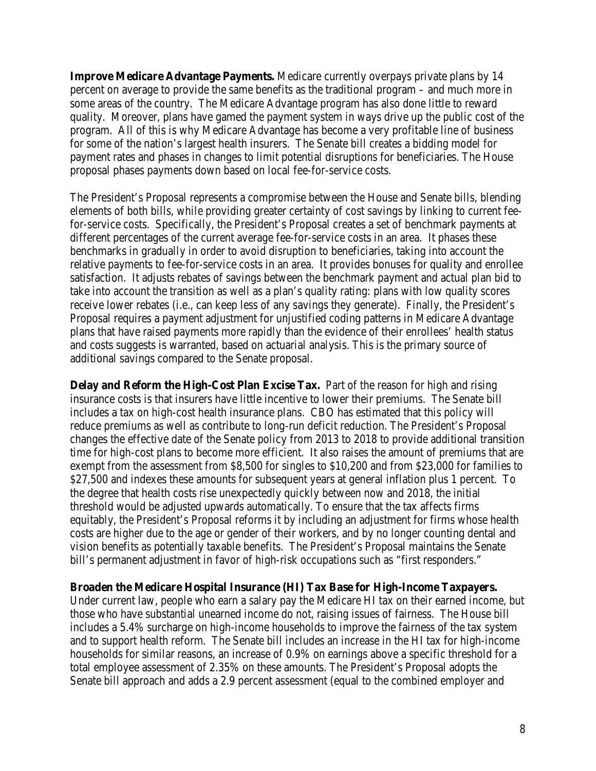**Improve Medicare Advantage Payments.** Medicare currently overpays private plans by 14 percent on average to provide the same benefits as the traditional program – and much more in some areas of the country. The Medicare Advantage program has also done little to reward quality. Moreover, plans have gamed the payment system in ways drive up the public cost of the program. All of this is why Medicare Advantage has become a very profitable line of business for some of the nation's largest health insurers. The Senate bill creates a bidding model for payment rates and phases in changes to limit potential disruptions for beneficiaries. The House proposal phases payments down based on local fee-for-service costs.

The President's Proposal represents a compromise between the House and Senate bills, blending elements of both bills, while providing greater certainty of cost savings by linking to current feefor-service costs. Specifically, the President's Proposal creates a set of benchmark payments at different percentages of the current average fee-for-service costs in an area. It phases these benchmarks in gradually in order to avoid disruption to beneficiaries, taking into account the relative payments to fee-for-service costs in an area. It provides bonuses for quality and enrollee satisfaction. It adjusts rebates of savings between the benchmark payment and actual plan bid to take into account the transition as well as a plan's quality rating: plans with low quality scores receive lower rebates (i.e., can keep less of any savings they generate). Finally, the President's Proposal requires a payment adjustment for unjustified coding patterns in Medicare Advantage plans that have raised payments more rapidly than the evidence of their enrollees' health status and costs suggests is warranted, based on actuarial analysis. This is the primary source of additional savings compared to the Senate proposal.

**Delay and Reform the High-Cost Plan Excise Tax.** Part of the reason for high and rising insurance costs is that insurers have little incentive to lower their premiums. The Senate bill includes a tax on high-cost health insurance plans. CBO has estimated that this policy will reduce premiums as well as contribute to long-run deficit reduction. The President's Proposal changes the effective date of the Senate policy from 2013 to 2018 to provide additional transition time for high-cost plans to become more efficient. It also raises the amount of premiums that are exempt from the assessment from \$8,500 for singles to \$10,200 and from \$23,000 for families to \$27,500 and indexes these amounts for subsequent years at general inflation plus 1 percent. To the degree that health costs rise unexpectedly quickly between now and 2018, the initial threshold would be adjusted upwards automatically. To ensure that the tax affects firms equitably, the President's Proposal reforms it by including an adjustment for firms whose health costs are higher due to the age or gender of their workers, and by no longer counting dental and vision benefits as potentially taxable benefits. The President's Proposal maintains the Senate bill's permanent adjustment in favor of high-risk occupations such as "first responders."

#### **Broaden the Medicare Hospital Insurance (HI) Tax Base for High-Income Taxpayers.**

Under current law, people who earn a salary pay the Medicare HI tax on their earned income, but those who have substantial unearned income do not, raising issues of fairness. The House bill includes a 5.4% surcharge on high-income households to improve the fairness of the tax system and to support health reform. The Senate bill includes an increase in the HI tax for high-income households for similar reasons, an increase of 0.9% on earnings above a specific threshold for a total employee assessment of 2.35% on these amounts. The President's Proposal adopts the Senate bill approach and adds a 2.9 percent assessment (equal to the combined employer and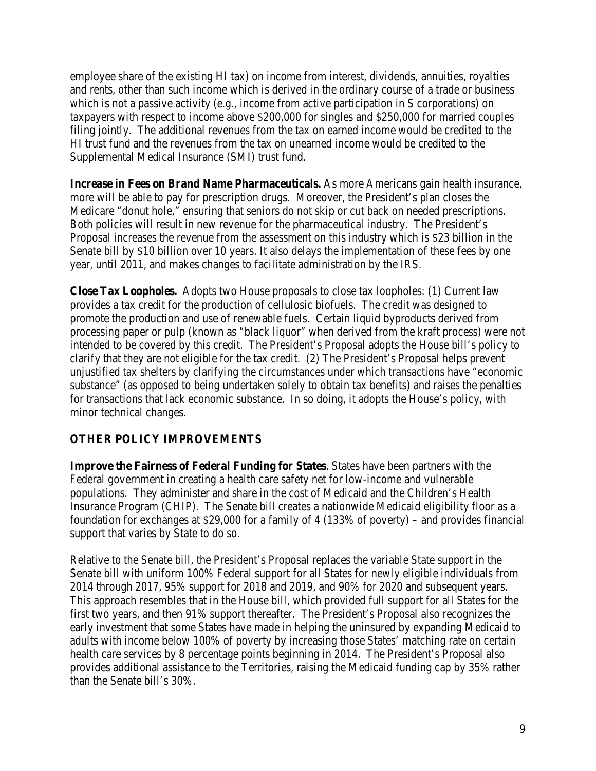employee share of the existing HI tax) on income from interest, dividends, annuities, royalties and rents, other than such income which is derived in the ordinary course of a trade or business which is not a passive activity (e.g., income from active participation in S corporations) on taxpayers with respect to income above \$200,000 for singles and \$250,000 for married couples filing jointly. The additional revenues from the tax on earned income would be credited to the HI trust fund and the revenues from the tax on unearned income would be credited to the Supplemental Medical Insurance (SMI) trust fund.

**Increase in Fees on Brand Name Pharmaceuticals.** As more Americans gain health insurance, more will be able to pay for prescription drugs. Moreover, the President's plan closes the Medicare "donut hole," ensuring that seniors do not skip or cut back on needed prescriptions. Both policies will result in new revenue for the pharmaceutical industry. The President's Proposal increases the revenue from the assessment on this industry which is \$23 billion in the Senate bill by \$10 billion over 10 years. It also delays the implementation of these fees by one year, until 2011, and makes changes to facilitate administration by the IRS.

**Close Tax Loopholes.** Adopts two House proposals to close tax loopholes: (1) Current law provides a tax credit for the production of cellulosic biofuels. The credit was designed to promote the production and use of renewable fuels. Certain liquid byproducts derived from processing paper or pulp (known as "black liquor" when derived from the kraft process) were not intended to be covered by this credit. The President's Proposal adopts the House bill's policy to clarify that they are not eligible for the tax credit. (2) The President's Proposal helps prevent unjustified tax shelters by clarifying the circumstances under which transactions have "economic substance" (as opposed to being undertaken solely to obtain tax benefits) and raises the penalties for transactions that lack economic substance. In so doing, it adopts the House's policy, with minor technical changes.

#### **OTHER POLICY IMPROVEMENTS**

**Improve the Fairness of Federal Funding for States**. States have been partners with the Federal government in creating a health care safety net for low-income and vulnerable populations. They administer and share in the cost of Medicaid and the Children's Health Insurance Program (CHIP). The Senate bill creates a nationwide Medicaid eligibility floor as a foundation for exchanges at \$29,000 for a family of 4 (133% of poverty) – and provides financial support that varies by State to do so.

Relative to the Senate bill, the President's Proposal replaces the variable State support in the Senate bill with uniform 100% Federal support for all States for newly eligible individuals from 2014 through 2017, 95% support for 2018 and 2019, and 90% for 2020 and subsequent years. This approach resembles that in the House bill, which provided full support for all States for the first two years, and then 91% support thereafter. The President's Proposal also recognizes the early investment that some States have made in helping the uninsured by expanding Medicaid to adults with income below 100% of poverty by increasing those States' matching rate on certain health care services by 8 percentage points beginning in 2014. The President's Proposal also provides additional assistance to the Territories, raising the Medicaid funding cap by 35% rather than the Senate bill's 30%.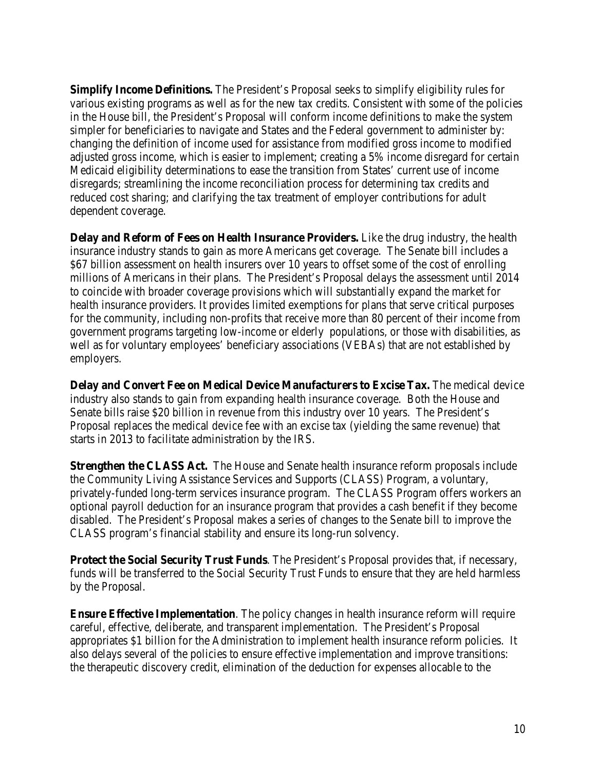**Simplify Income Definitions.** The President's Proposal seeks to simplify eligibility rules for various existing programs as well as for the new tax credits. Consistent with some of the policies in the House bill, the President's Proposal will conform income definitions to make the system simpler for beneficiaries to navigate and States and the Federal government to administer by: changing the definition of income used for assistance from modified gross income to modified adjusted gross income, which is easier to implement; creating a 5% income disregard for certain Medicaid eligibility determinations to ease the transition from States' current use of income disregards; streamlining the income reconciliation process for determining tax credits and reduced cost sharing; and clarifying the tax treatment of employer contributions for adult dependent coverage.

**Delay and Reform of Fees on Health Insurance Providers.** Like the drug industry, the health insurance industry stands to gain as more Americans get coverage. The Senate bill includes a \$67 billion assessment on health insurers over 10 years to offset some of the cost of enrolling millions of Americans in their plans. The President's Proposal delays the assessment until 2014 to coincide with broader coverage provisions which will substantially expand the market for health insurance providers. It provides limited exemptions for plans that serve critical purposes for the community, including non-profits that receive more than 80 percent of their income from government programs targeting low-income or elderly populations, or those with disabilities, as well as for voluntary employees' beneficiary associations (VEBAs) that are not established by employers.

**Delay and Convert Fee on Medical Device Manufacturers to Excise Tax.** The medical device industry also stands to gain from expanding health insurance coverage. Both the House and Senate bills raise \$20 billion in revenue from this industry over 10 years. The President's Proposal replaces the medical device fee with an excise tax (yielding the same revenue) that starts in 2013 to facilitate administration by the IRS.

**Strengthen the CLASS Act.** The House and Senate health insurance reform proposals include the Community Living Assistance Services and Supports (CLASS) Program, a voluntary, privately-funded long-term services insurance program. The CLASS Program offers workers an optional payroll deduction for an insurance program that provides a cash benefit if they become disabled. The President's Proposal makes a series of changes to the Senate bill to improve the CLASS program's financial stability and ensure its long-run solvency.

**Protect the Social Security Trust Funds**. The President's Proposal provides that, if necessary, funds will be transferred to the Social Security Trust Funds to ensure that they are held harmless by the Proposal.

**Ensure Effective Implementation**. The policy changes in health insurance reform will require careful, effective, deliberate, and transparent implementation. The President's Proposal appropriates \$1 billion for the Administration to implement health insurance reform policies. It also delays several of the policies to ensure effective implementation and improve transitions: the therapeutic discovery credit, elimination of the deduction for expenses allocable to the